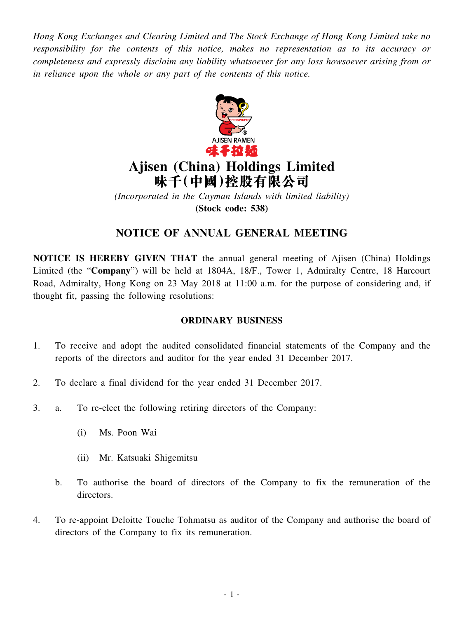*Hong Kong Exchanges and Clearing Limited and The Stock Exchange of Hong Kong Limited take no responsibility for the contents of this notice, makes no representation as to its accuracy or completeness and expressly disclaim any liability whatsoever for any loss howsoever arising from or in reliance upon the whole or any part of the contents of this notice.*



# **Ajisen (China) Holdings Limited 味千(中國)控股有限公司**

*(Incorporated in the Cayman Islands with limited liability)* **(Stock code: 538)**

# **NOTICE OF ANNUAL GENERAL MEETING**

**NOTICE IS HEREBY GIVEN THAT** the annual general meeting of Ajisen (China) Holdings Limited (the "**Company**") will be held at 1804A, 18/F., Tower 1, Admiralty Centre, 18 Harcourt Road, Admiralty, Hong Kong on 23 May 2018 at 11:00 a.m. for the purpose of considering and, if thought fit, passing the following resolutions:

## **ORDINARY BUSINESS**

- 1. To receive and adopt the audited consolidated financial statements of the Company and the reports of the directors and auditor for the year ended 31 December 2017.
- 2. To declare a final dividend for the year ended 31 December 2017.
- 3. a. To re-elect the following retiring directors of the Company:
	- (i) Ms. Poon Wai
	- (ii) Mr. Katsuaki Shigemitsu
	- b. To authorise the board of directors of the Company to fix the remuneration of the directors.
- 4. To re-appoint Deloitte Touche Tohmatsu as auditor of the Company and authorise the board of directors of the Company to fix its remuneration.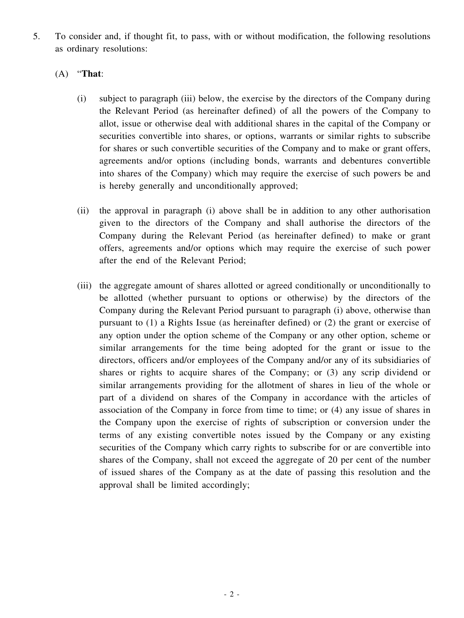5. To consider and, if thought fit, to pass, with or without modification, the following resolutions as ordinary resolutions:

### (A) "**That**:

- (i) subject to paragraph (iii) below, the exercise by the directors of the Company during the Relevant Period (as hereinafter defined) of all the powers of the Company to allot, issue or otherwise deal with additional shares in the capital of the Company or securities convertible into shares, or options, warrants or similar rights to subscribe for shares or such convertible securities of the Company and to make or grant offers, agreements and/or options (including bonds, warrants and debentures convertible into shares of the Company) which may require the exercise of such powers be and is hereby generally and unconditionally approved;
- (ii) the approval in paragraph (i) above shall be in addition to any other authorisation given to the directors of the Company and shall authorise the directors of the Company during the Relevant Period (as hereinafter defined) to make or grant offers, agreements and/or options which may require the exercise of such power after the end of the Relevant Period;
- (iii) the aggregate amount of shares allotted or agreed conditionally or unconditionally to be allotted (whether pursuant to options or otherwise) by the directors of the Company during the Relevant Period pursuant to paragraph (i) above, otherwise than pursuant to (1) a Rights Issue (as hereinafter defined) or (2) the grant or exercise of any option under the option scheme of the Company or any other option, scheme or similar arrangements for the time being adopted for the grant or issue to the directors, officers and/or employees of the Company and/or any of its subsidiaries of shares or rights to acquire shares of the Company; or (3) any scrip dividend or similar arrangements providing for the allotment of shares in lieu of the whole or part of a dividend on shares of the Company in accordance with the articles of association of the Company in force from time to time; or (4) any issue of shares in the Company upon the exercise of rights of subscription or conversion under the terms of any existing convertible notes issued by the Company or any existing securities of the Company which carry rights to subscribe for or are convertible into shares of the Company, shall not exceed the aggregate of 20 per cent of the number of issued shares of the Company as at the date of passing this resolution and the approval shall be limited accordingly;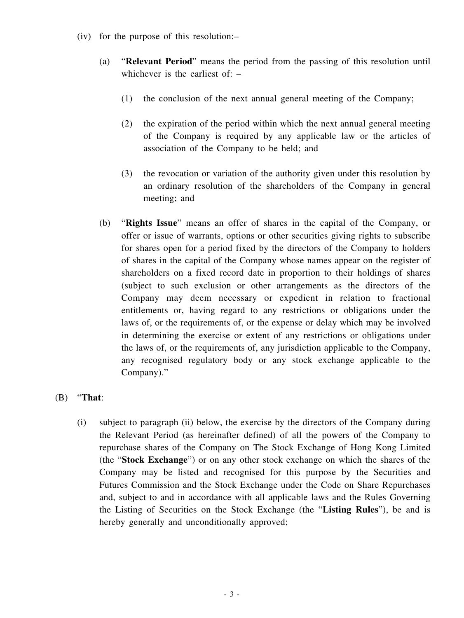- (iv) for the purpose of this resolution:–
	- (a) "**Relevant Period**" means the period from the passing of this resolution until whichever is the earliest of:  $-$ 
		- (1) the conclusion of the next annual general meeting of the Company;
		- (2) the expiration of the period within which the next annual general meeting of the Company is required by any applicable law or the articles of association of the Company to be held; and
		- (3) the revocation or variation of the authority given under this resolution by an ordinary resolution of the shareholders of the Company in general meeting; and
	- (b) "**Rights Issue**" means an offer of shares in the capital of the Company, or offer or issue of warrants, options or other securities giving rights to subscribe for shares open for a period fixed by the directors of the Company to holders of shares in the capital of the Company whose names appear on the register of shareholders on a fixed record date in proportion to their holdings of shares (subject to such exclusion or other arrangements as the directors of the Company may deem necessary or expedient in relation to fractional entitlements or, having regard to any restrictions or obligations under the laws of, or the requirements of, or the expense or delay which may be involved in determining the exercise or extent of any restrictions or obligations under the laws of, or the requirements of, any jurisdiction applicable to the Company, any recognised regulatory body or any stock exchange applicable to the Company)."

### (B) "**That**:

(i) subject to paragraph (ii) below, the exercise by the directors of the Company during the Relevant Period (as hereinafter defined) of all the powers of the Company to repurchase shares of the Company on The Stock Exchange of Hong Kong Limited (the "**Stock Exchange**") or on any other stock exchange on which the shares of the Company may be listed and recognised for this purpose by the Securities and Futures Commission and the Stock Exchange under the Code on Share Repurchases and, subject to and in accordance with all applicable laws and the Rules Governing the Listing of Securities on the Stock Exchange (the "**Listing Rules**"), be and is hereby generally and unconditionally approved;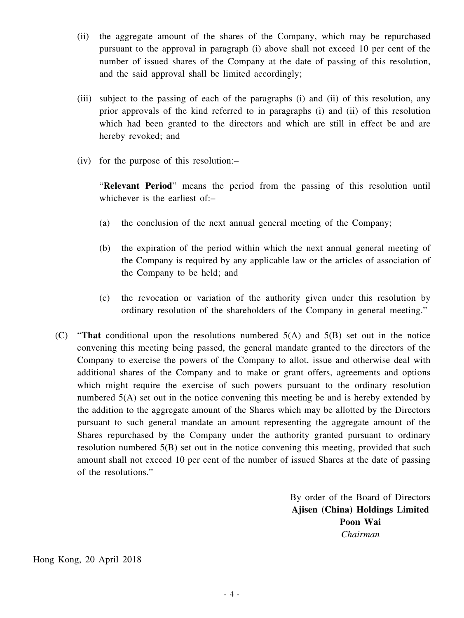- (ii) the aggregate amount of the shares of the Company, which may be repurchased pursuant to the approval in paragraph (i) above shall not exceed 10 per cent of the number of issued shares of the Company at the date of passing of this resolution, and the said approval shall be limited accordingly;
- (iii) subject to the passing of each of the paragraphs (i) and (ii) of this resolution, any prior approvals of the kind referred to in paragraphs (i) and (ii) of this resolution which had been granted to the directors and which are still in effect be and are hereby revoked; and
- (iv) for the purpose of this resolution:–

"**Relevant Period**" means the period from the passing of this resolution until whichever is the earliest of:–

- (a) the conclusion of the next annual general meeting of the Company;
- (b) the expiration of the period within which the next annual general meeting of the Company is required by any applicable law or the articles of association of the Company to be held; and
- (c) the revocation or variation of the authority given under this resolution by ordinary resolution of the shareholders of the Company in general meeting."
- (C) "**That** conditional upon the resolutions numbered 5(A) and 5(B) set out in the notice convening this meeting being passed, the general mandate granted to the directors of the Company to exercise the powers of the Company to allot, issue and otherwise deal with additional shares of the Company and to make or grant offers, agreements and options which might require the exercise of such powers pursuant to the ordinary resolution numbered 5(A) set out in the notice convening this meeting be and is hereby extended by the addition to the aggregate amount of the Shares which may be allotted by the Directors pursuant to such general mandate an amount representing the aggregate amount of the Shares repurchased by the Company under the authority granted pursuant to ordinary resolution numbered 5(B) set out in the notice convening this meeting, provided that such amount shall not exceed 10 per cent of the number of issued Shares at the date of passing of the resolutions."

By order of the Board of Directors **Ajisen (China) Holdings Limited Poon Wai** *Chairman*

Hong Kong, 20 April 2018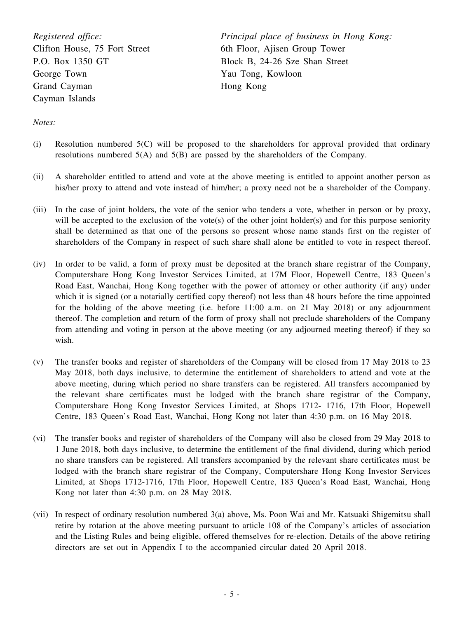*Registered office:* Clifton House, 75 Fort Street P.O. Box 1350 GT George Town Grand Cayman Cayman Islands

*Principal place of business in Hong Kong:* 6th Floor, Ajisen Group Tower Block B, 24-26 Sze Shan Street Yau Tong, Kowloon Hong Kong

*Notes:*

- (i) Resolution numbered 5(C) will be proposed to the shareholders for approval provided that ordinary resolutions numbered 5(A) and 5(B) are passed by the shareholders of the Company.
- (ii) A shareholder entitled to attend and vote at the above meeting is entitled to appoint another person as his/her proxy to attend and vote instead of him/her; a proxy need not be a shareholder of the Company.
- (iii) In the case of joint holders, the vote of the senior who tenders a vote, whether in person or by proxy, will be accepted to the exclusion of the vote(s) of the other joint holder(s) and for this purpose seniority shall be determined as that one of the persons so present whose name stands first on the register of shareholders of the Company in respect of such share shall alone be entitled to vote in respect thereof.
- (iv) In order to be valid, a form of proxy must be deposited at the branch share registrar of the Company, Computershare Hong Kong Investor Services Limited, at 17M Floor, Hopewell Centre, 183 Queen's Road East, Wanchai, Hong Kong together with the power of attorney or other authority (if any) under which it is signed (or a notarially certified copy thereof) not less than 48 hours before the time appointed for the holding of the above meeting (i.e. before 11:00 a.m. on 21 May 2018) or any adjournment thereof. The completion and return of the form of proxy shall not preclude shareholders of the Company from attending and voting in person at the above meeting (or any adjourned meeting thereof) if they so wish.
- (v) The transfer books and register of shareholders of the Company will be closed from 17 May 2018 to 23 May 2018, both days inclusive, to determine the entitlement of shareholders to attend and vote at the above meeting, during which period no share transfers can be registered. All transfers accompanied by the relevant share certificates must be lodged with the branch share registrar of the Company, Computershare Hong Kong Investor Services Limited, at Shops 1712- 1716, 17th Floor, Hopewell Centre, 183 Queen's Road East, Wanchai, Hong Kong not later than 4:30 p.m. on 16 May 2018.
- (vi) The transfer books and register of shareholders of the Company will also be closed from 29 May 2018 to 1 June 2018, both days inclusive, to determine the entitlement of the final dividend, during which period no share transfers can be registered. All transfers accompanied by the relevant share certificates must be lodged with the branch share registrar of the Company, Computershare Hong Kong Investor Services Limited, at Shops 1712-1716, 17th Floor, Hopewell Centre, 183 Queen's Road East, Wanchai, Hong Kong not later than 4:30 p.m. on 28 May 2018.
- (vii) In respect of ordinary resolution numbered 3(a) above, Ms. Poon Wai and Mr. Katsuaki Shigemitsu shall retire by rotation at the above meeting pursuant to article 108 of the Company's articles of association and the Listing Rules and being eligible, offered themselves for re-election. Details of the above retiring directors are set out in Appendix I to the accompanied circular dated 20 April 2018.